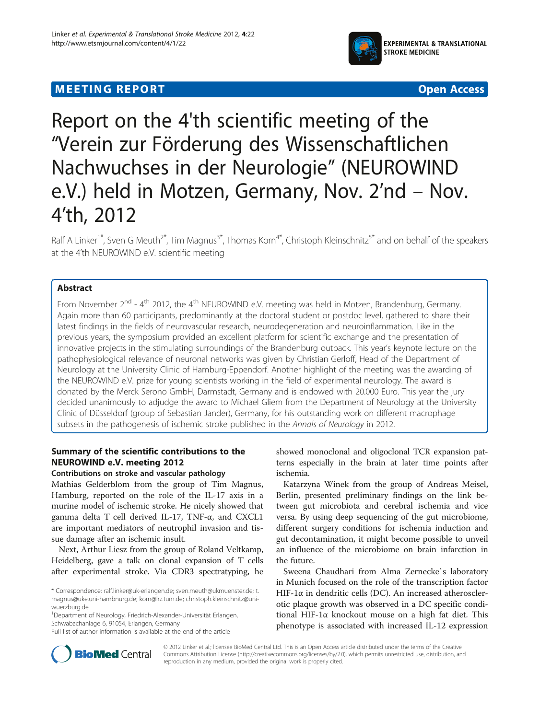# $\mathcal{L}_{\mathbf{F}}$  . The expectation of the experimental control  $\mathcal{L}_{\mathbf{F}}$



# Report on the 4'th scientific meeting of the "Verein zur Förderung des Wissenschaftlichen Nachwuchses in der Neurologie" (NEUROWIND e.V.) held in Motzen, Germany, Nov. 2'nd – Nov. 4'th, 2012

Ralf A Linker<sup>1\*</sup>, Sven G Meuth<sup>2\*</sup>, Tim Magnus<sup>3\*</sup>, Thomas Korn<sup>4\*</sup>, Christoph Kleinschnitz<sup>5\*</sup> and on behalf of the speakers at the 4'th NEUROWIND e.V. scientific meeting

### **Abstract**

From November 2<sup>nd</sup> - 4<sup>th</sup> 2012, the 4<sup>th</sup> NEUROWIND e.V. meeting was held in Motzen, Brandenburg, Germany. Again more than 60 participants, predominantly at the doctoral student or postdoc level, gathered to share their latest findings in the fields of neurovascular research, neurodegeneration and neuroinflammation. Like in the previous years, the symposium provided an excellent platform for scientific exchange and the presentation of innovative projects in the stimulating surroundings of the Brandenburg outback. This year's keynote lecture on the pathophysiological relevance of neuronal networks was given by Christian Gerloff, Head of the Department of Neurology at the University Clinic of Hamburg-Eppendorf. Another highlight of the meeting was the awarding of the NEUROWIND e.V. prize for young scientists working in the field of experimental neurology. The award is donated by the Merck Serono GmbH, Darmstadt, Germany and is endowed with 20.000 Euro. This year the jury decided unanimously to adjudge the award to Michael Gliem from the Department of Neurology at the University Clinic of Düsseldorf (group of Sebastian Jander), Germany, for his outstanding work on different macrophage subsets in the pathogenesis of ischemic stroke published in the Annals of Neurology in 2012.

## Summary of the scientific contributions to the NEUROWIND e.V. meeting 2012

### Contributions on stroke and vascular pathology

Mathias Gelderblom from the group of Tim Magnus, Hamburg, reported on the role of the IL-17 axis in a murine model of ischemic stroke. He nicely showed that gamma delta T cell derived IL-17, TNF-α, and CXCL1 are important mediators of neutrophil invasion and tissue damage after an ischemic insult.

Next, Arthur Liesz from the group of Roland Veltkamp, Heidelberg, gave a talk on clonal expansion of T cells after experimental stroke. Via CDR3 spectratyping, he

showed monoclonal and oligoclonal TCR expansion patterns especially in the brain at later time points after ischemia.

Katarzyna Winek from the group of Andreas Meisel, Berlin, presented preliminary findings on the link between gut microbiota and cerebral ischemia and vice versa. By using deep sequencing of the gut microbiome, different surgery conditions for ischemia induction and gut decontamination, it might become possible to unveil an influence of the microbiome on brain infarction in the future.

Sweena Chaudhari from Alma Zernecke`s laboratory in Munich focused on the role of the transcription factor HIF-1α in dendritic cells (DC). An increased atherosclerotic plaque growth was observed in a DC specific conditional HIF-1α knockout mouse on a high fat diet. This phenotype is associated with increased IL-12 expression



© 2012 Linker et al.; licensee BioMed Central Ltd. This is an Open Access article distributed under the terms of the Creative Commons Attribution License [\(http://creativecommons.org/licenses/by/2.0\)](http://creativecommons.org/licenses/by/2.0), which permits unrestricted use, distribution, and reproduction in any medium, provided the original work is properly cited.

<sup>\*</sup> Correspondence: [ralf.linker@uk-erlangen.de;](mailto:ralf.linker@uk-erlangen.de) [sven.meuth@ukmuenster.de;](mailto:sven.meuth@ukmuenster.de) [t.](mailto:t.magnus@uke.uni-hambnurg.de) [magnus@uke.uni-hambnurg.de](mailto:t.magnus@uke.uni-hambnurg.de); [korn@lrz.tum.de;](mailto:korn@lrz.tum.de) [christoph.kleinschnitz@uni](mailto:christoph.kleinschnitz@uni-wuerzburg.de)[wuerzburg.de](mailto:christoph.kleinschnitz@uni-wuerzburg.de)

<sup>1</sup> Department of Neurology, Friedrich-Alexander-Universität Erlangen, Schwabachanlage 6, 91054, Erlangen, Germany

Full list of author information is available at the end of the article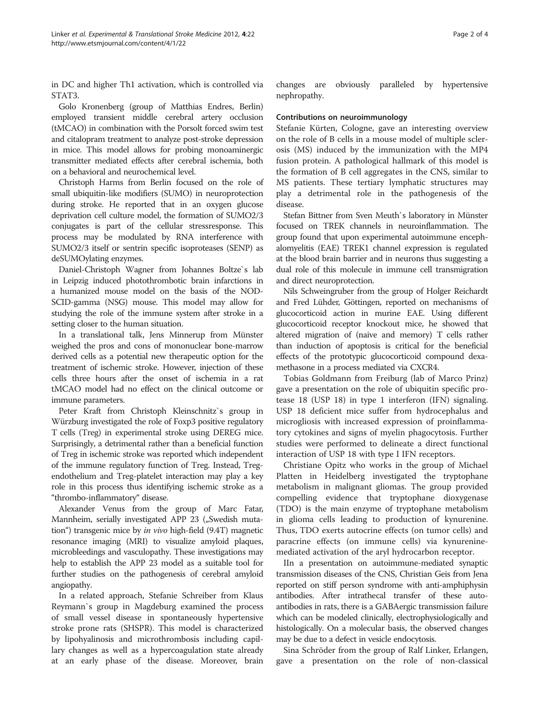in DC and higher Th1 activation, which is controlled via STAT3.

Golo Kronenberg (group of Matthias Endres, Berlin) employed transient middle cerebral artery occlusion (tMCAO) in combination with the Porsolt forced swim test and citalopram treatment to analyze post-stroke depression in mice. This model allows for probing monoaminergic transmitter mediated effects after cerebral ischemia, both on a behavioral and neurochemical level.

Christoph Harms from Berlin focused on the role of small ubiquitin-like modifiers (SUMO) in neuroprotection during stroke. He reported that in an oxygen glucose deprivation cell culture model, the formation of SUMO2/3 conjugates is part of the cellular stressresponse. This process may be modulated by RNA interference with SUMO2/3 itself or sentrin specific isoproteases (SENP) as deSUMOylating enzymes.

Daniel-Christoph Wagner from Johannes Boltze`s lab in Leipzig induced photothrombotic brain infarctions in a humanized mouse model on the basis of the NOD-SCID-gamma (NSG) mouse. This model may allow for studying the role of the immune system after stroke in a setting closer to the human situation.

In a translational talk, Jens Minnerup from Münster weighed the pros and cons of mononuclear bone-marrow derived cells as a potential new therapeutic option for the treatment of ischemic stroke. However, injection of these cells three hours after the onset of ischemia in a rat tMCAO model had no effect on the clinical outcome or immune parameters.

Peter Kraft from Christoph Kleinschnitz`s group in Würzburg investigated the role of Foxp3 positive regulatory T cells (Treg) in experimental stroke using DEREG mice. Surprisingly, a detrimental rather than a beneficial function of Treg in ischemic stroke was reported which independent of the immune regulatory function of Treg. Instead, Tregendothelium and Treg-platelet interaction may play a key role in this process thus identifying ischemic stroke as a "thrombo-inflammatory" disease.

Alexander Venus from the group of Marc Fatar, Mannheim, serially investigated APP 23 ("Swedish mutation") transgenic mice by in vivo high-field (9.4T) magnetic resonance imaging (MRI) to visualize amyloid plaques, microbleedings and vasculopathy. These investigations may help to establish the APP 23 model as a suitable tool for further studies on the pathogenesis of cerebral amyloid angiopathy.

In a related approach, Stefanie Schreiber from Klaus Reymann`s group in Magdeburg examined the process of small vessel disease in spontaneously hypertensive stroke prone rats (SHSPR). This model is characterized by lipohyalinosis and microthrombosis including capillary changes as well as a hypercoagulation state already at an early phase of the disease. Moreover, brain changes are obviously paralleled by hypertensive nephropathy.

### Contributions on neuroimmunology

Stefanie Kürten, Cologne, gave an interesting overview on the role of B cells in a mouse model of multiple sclerosis (MS) induced by the immunization with the MP4 fusion protein. A pathological hallmark of this model is the formation of B cell aggregates in the CNS, similar to MS patients. These tertiary lymphatic structures may play a detrimental role in the pathogenesis of the disease.

Stefan Bittner from Sven Meuth`s laboratory in Münster focused on TREK channels in neuroinflammation. The group found that upon experimental autoimmune encephalomyelitis (EAE) TREK1 channel expression is regulated at the blood brain barrier and in neurons thus suggesting a dual role of this molecule in immune cell transmigration and direct neuroprotection.

Nils Schweingruber from the group of Holger Reichardt and Fred Lühder, Göttingen, reported on mechanisms of glucocorticoid action in murine EAE. Using different glucocorticoid receptor knockout mice, he showed that altered migration of (naive and memory) T cells rather than induction of apoptosis is critical for the beneficial effects of the prototypic glucocorticoid compound dexamethasone in a process mediated via CXCR4.

Tobias Goldmann from Freiburg (lab of Marco Prinz) gave a presentation on the role of ubiquitin specific protease 18 (USP 18) in type 1 interferon (IFN) signaling. USP 18 deficient mice suffer from hydrocephalus and microgliosis with increased expression of proinflammatory cytokines and signs of myelin phagocytosis. Further studies were performed to delineate a direct functional interaction of USP 18 with type I IFN receptors.

Christiane Opitz who works in the group of Michael Platten in Heidelberg investigated the tryptophane metabolism in malignant gliomas. The group provided compelling evidence that tryptophane dioxygenase (TDO) is the main enzyme of tryptophane metabolism in glioma cells leading to production of kynurenine. Thus, TDO exerts autocrine effects (on tumor cells) and paracrine effects (on immune cells) via kynureninemediated activation of the aryl hydrocarbon receptor.

IIn a presentation on autoimmune-mediated synaptic transmission diseases of the CNS, Christian Geis from Jena reported on stiff person syndrome with anti-amphiphysin antibodies. After intrathecal transfer of these autoantibodies in rats, there is a GABAergic transmission failure which can be modeled clinically, electrophysiologically and histologically. On a molecular basis, the observed changes may be due to a defect in vesicle endocytosis.

Sina Schröder from the group of Ralf Linker, Erlangen, gave a presentation on the role of non-classical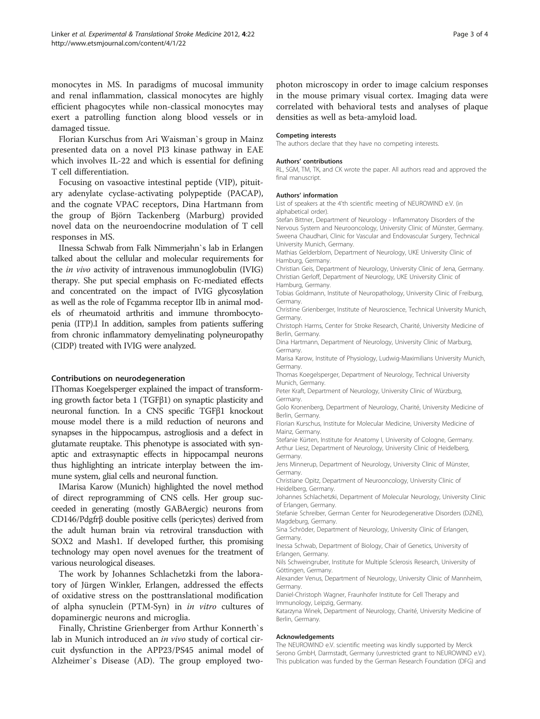monocytes in MS. In paradigms of mucosal immunity and renal inflammation, classical monocytes are highly efficient phagocytes while non-classical monocytes may exert a patrolling function along blood vessels or in damaged tissue.

Florian Kurschus from Ari Waisman`s group in Mainz presented data on a novel PI3 kinase pathway in EAE which involves IL-22 and which is essential for defining T cell differentiation.

Focusing on vasoactive intestinal peptide (VIP), pituitary adenylate cyclase-activating polypeptide (PACAP), and the cognate VPAC receptors, Dina Hartmann from the group of Björn Tackenberg (Marburg) provided novel data on the neuroendocrine modulation of T cell responses in MS.

IInessa Schwab from Falk Nimmerjahn`s lab in Erlangen talked about the cellular and molecular requirements for the in vivo activity of intravenous immunoglobulin (IVIG) therapy. She put special emphasis on Fc-mediated effects and concentrated on the impact of IVIG glycosylation as well as the role of Fcgamma receptor IIb in animal models of rheumatoid arthritis and immune thrombocytopenia (ITP).I In addition, samples from patients suffering from chronic inflammatory demyelinating polyneuropathy (CIDP) treated with IVIG were analyzed.

#### Contributions on neurodegeneration

IThomas Koegelsperger explained the impact of transforming growth factor beta 1 (TGFβ1) on synaptic plasticity and neuronal function. In a CNS specific TGFβ1 knockout mouse model there is a mild reduction of neurons and synapses in the hippocampus, astrogliosis and a defect in glutamate reuptake. This phenotype is associated with synaptic and extrasynaptic effects in hippocampal neurons thus highlighting an intricate interplay between the immune system, glial cells and neuronal function.

IMarisa Karow (Munich) highlighted the novel method of direct reprogramming of CNS cells. Her group succeeded in generating (mostly GABAergic) neurons from CD146/Pdgfrβ double positive cells (pericytes) derived from the adult human brain via retroviral transduction with SOX2 and Mash1. If developed further, this promising technology may open novel avenues for the treatment of various neurological diseases.

The work by Johannes Schlachetzki from the laboratory of Jürgen Winkler, Erlangen, addressed the effects of oxidative stress on the posttranslational modification of alpha synuclein (PTM-Syn) in in vitro cultures of dopaminergic neurons and microglia.

Finally, Christine Grienberger from Arthur Konnerth`s lab in Munich introduced an *in vivo* study of cortical circuit dysfunction in the APP23/PS45 animal model of Alzheimer`s Disease (AD). The group employed twophoton microscopy in order to image calcium responses in the mouse primary visual cortex. Imaging data were correlated with behavioral tests and analyses of plaque densities as well as beta-amyloid load.

#### Competing interests

The authors declare that they have no competing interests.

#### Authors' contributions

RL, SGM, TM, TK, and CK wrote the paper. All authors read and approved the final manuscript.

#### Authors' information

List of speakers at the 4'th scientific meeting of NEUROWIND e.V. (in alphabetical order).

Stefan Bittner, Department of Neurology - Inflammatory Disorders of the Nervous System and Neurooncology, University Clinic of Münster, Germany. Sweena Chaudhari, Clinic for Vascular and Endovascular Surgery, Technical University Munich, Germany.

Mathias Gelderblom, Department of Neurology, UKE University Clinic of Hamburg, Germany.

Christian Geis, Department of Neurology, University Clinic of Jena, Germany. Christian Gerloff, Department of Neurology, UKE University Clinic of Hamburg, Germany.

Tobias Goldmann, Institute of Neuropathology, University Clinic of Freiburg, **Germany** 

Christine Grienberger, Institute of Neuroscience, Technical University Munich, Germany.

Christoph Harms, Center for Stroke Research, Charité, University Medicine of Berlin, Germany.

Dina Hartmann, Department of Neurology, University Clinic of Marburg, Germany.

Marisa Karow, Institute of Physiology, Ludwig-Maximilians University Munich, Germany.

Thomas Koegelsperger, Department of Neurology, Technical University Munich, Germany.

Peter Kraft, Department of Neurology, University Clinic of Würzburg, Germany.

Golo Kronenberg, Department of Neurology, Charité, University Medicine of Berlin, Germany.

Florian Kurschus, Institute for Molecular Medicine, University Medicine of Mainz, Germany.

Stefanie Kürten, Institute for Anatomy I, University of Cologne, Germany. Arthur Liesz, Department of Neurology, University Clinic of Heidelberg, Germany.

Jens Minnerup, Department of Neurology, University Clinic of Münster, Germany.

Christiane Opitz, Department of Neurooncology, University Clinic of Heidelberg, Germany.

Johannes Schlachetzki, Department of Molecular Neurology, University Clinic of Erlangen, Germany.

Stefanie Schreiber, German Center for Neurodegenerative Disorders (DZNE), Magdeburg, Germany.

Sina Schröder, Department of Neurology, University Clinic of Erlangen, Germany.

Inessa Schwab, Department of Biology, Chair of Genetics, University of Erlangen, Germany.

Nils Schweingruber, Institute for Multiple Sclerosis Research, University of Göttingen, Germany.

Alexander Venus, Department of Neurology, University Clinic of Mannheim, Germany.

Daniel-Christoph Wagner, Fraunhofer Institute for Cell Therapy and Immunology, Leipzig, Germany.

Katarzyna Winek, Department of Neurology, Charité, University Medicine of Berlin, Germany.

#### Acknowledgements

The NEUROWIND e.V. scientific meeting was kindly supported by Merck Serono GmbH, Darmstadt, Germany (unrestricted grant to NEUROWIND e.V.). This publication was funded by the German Research Foundation (DFG) and